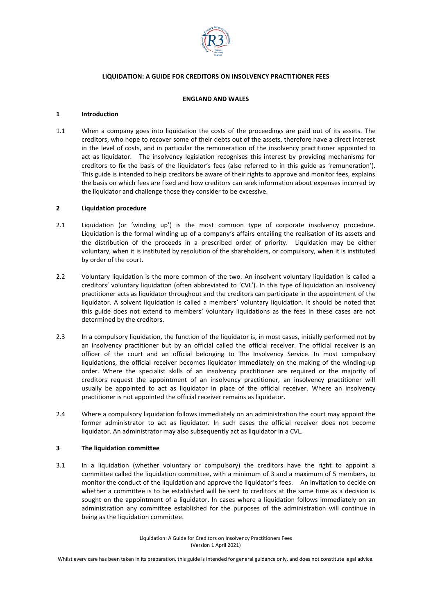

### **LIQUIDATION: A GUIDE FOR CREDITORS ON INSOLVENCY PRACTITIONER FEES**

# **ENGLAND AND WALES**

### **1 Introduction**

1.1 When a company goes into liquidation the costs of the proceedings are paid out of its assets. The creditors, who hope to recover some of their debts out of the assets, therefore have a direct interest in the level of costs, and in particular the remuneration of the insolvency practitioner appointed to act as liquidator. The insolvency legislation recognises this interest by providing mechanisms for creditors to fix the basis of the liquidator's fees (also referred to in this guide as 'remuneration'). This guide is intended to help creditors be aware of their rights to approve and monitor fees, explains the basis on which fees are fixed and how creditors can seek information about expenses incurred by the liquidator and challenge those they consider to be excessive.

## **2 Liquidation procedure**

- 2.1 Liquidation (or 'winding up') is the most common type of corporate insolvency procedure. Liquidation is the formal winding up of a company's affairs entailing the realisation of its assets and the distribution of the proceeds in a prescribed order of priority. Liquidation may be either voluntary, when it is instituted by resolution of the shareholders, or compulsory, when it is instituted by order of the court.
- 2.2 Voluntary liquidation is the more common of the two. An insolvent voluntary liquidation is called a creditors' voluntary liquidation (often abbreviated to 'CVL'). In this type of liquidation an insolvency practitioner acts as liquidator throughout and the creditors can participate in the appointment of the liquidator. A solvent liquidation is called a members' voluntary liquidation. It should be noted that this guide does not extend to members' voluntary liquidations as the fees in these cases are not determined by the creditors.
- 2.3 In a compulsory liquidation, the function of the liquidator is, in most cases, initially performed not by an insolvency practitioner but by an official called the official receiver. The official receiver is an officer of the court and an official belonging to The Insolvency Service. In most compulsory liquidations, the official receiver becomes liquidator immediately on the making of the winding-up order. Where the specialist skills of an insolvency practitioner are required or the majority of creditors request the appointment of an insolvency practitioner, an insolvency practitioner will usually be appointed to act as liquidator in place of the official receiver. Where an insolvency practitioner is not appointed the official receiver remains as liquidator.
- 2.4 Where a compulsory liquidation follows immediately on an administration the court may appoint the former administrator to act as liquidator. In such cases the official receiver does not become liquidator. An administrator may also subsequently act as liquidator in a CVL.

### **3 The liquidation committee**

3.1 In a liquidation (whether voluntary or compulsory) the creditors have the right to appoint a committee called the liquidation committee, with a minimum of 3 and a maximum of 5 members, to monitor the conduct of the liquidation and approve the liquidator's fees. An invitation to decide on whether a committee is to be established will be sent to creditors at the same time as a decision is sought on the appointment of a liquidator. In cases where a liquidation follows immediately on an administration any committee established for the purposes of the administration will continue in being as the liquidation committee.

> Liquidation: A Guide for Creditors on Insolvency Practitioners Fees (Version 1 April 2021)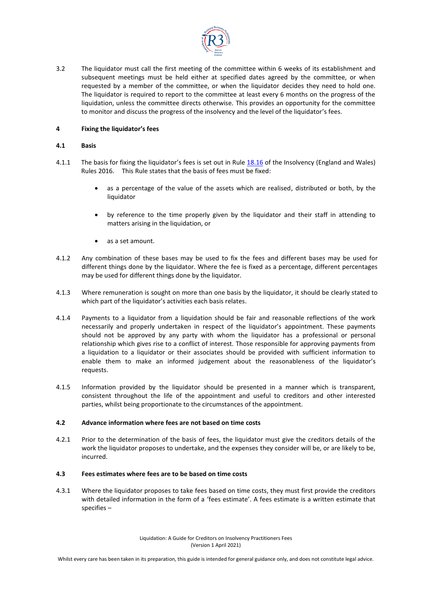

3.2 The liquidator must call the first meeting of the committee within 6 weeks of its establishment and subsequent meetings must be held either at specified dates agreed by the committee, or when requested by a member of the committee, or when the liquidator decides they need to hold one. The liquidator is required to report to the committee at least every 6 months on the progress of the liquidation, unless the committee directs otherwise. This provides an opportunity for the committee to monitor and discuss the progress of the insolvency and the level of the liquidator's fees.

## **4 Fixing the liquidator's fees**

### **4.1 Basis**

- 4.1.1 The basis for fixing the liquidator's fees is set out in Rule [18.16](https://www.legislation.gov.uk/uksi/2016/1024/article/18.16/made) of the Insolvency (England and Wales) Rules 2016. This Rule states that the basis of fees must be fixed:
	- as a percentage of the value of the assets which are realised, distributed or both, by the liquidator
	- by reference to the time properly given by the liquidator and their staff in attending to matters arising in the liquidation, or
	- as a set amount.
- 4.1.2 Any combination of these bases may be used to fix the fees and different bases may be used for different things done by the liquidator. Where the fee is fixed as a percentage, different percentages may be used for different things done by the liquidator.
- 4.1.3 Where remuneration is sought on more than one basis by the liquidator, it should be clearly stated to which part of the liquidator's activities each basis relates.
- 4.1.4 Payments to a liquidator from a liquidation should be fair and reasonable reflections of the work necessarily and properly undertaken in respect of the liquidator's appointment. These payments should not be approved by any party with whom the liquidator has a professional or personal relationship which gives rise to a conflict of interest. Those responsible for approving payments from a liquidation to a liquidator or their associates should be provided with sufficient information to enable them to make an informed judgement about the reasonableness of the liquidator's requests.
- 4.1.5 Information provided by the liquidator should be presented in a manner which is transparent, consistent throughout the life of the appointment and useful to creditors and other interested parties, whilst being proportionate to the circumstances of the appointment.

## **4.2 Advance information where fees are not based on time costs**

4.2.1 Prior to the determination of the basis of fees, the liquidator must give the creditors details of the work the liquidator proposes to undertake, and the expenses they consider will be, or are likely to be, incurred.

### **4.3 Fees estimates where fees are to be based on time costs**

4.3.1 Where the liquidator proposes to take fees based on time costs, they must first provide the creditors with detailed information in the form of a 'fees estimate'. A fees estimate is a written estimate that specifies –

> Liquidation: A Guide for Creditors on Insolvency Practitioners Fees (Version 1 April 2021)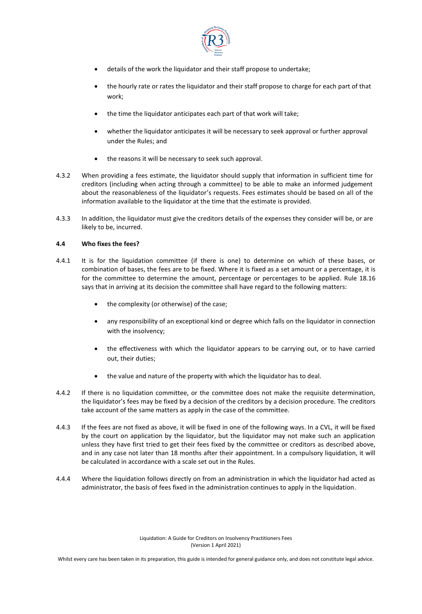

- details of the work the liquidator and their staff propose to undertake;
- the hourly rate or rates the liquidator and their staff propose to charge for each part of that work;
- the time the liquidator anticipates each part of that work will take;
- whether the liquidator anticipates it will be necessary to seek approval or further approval under the Rules; and
- the reasons it will be necessary to seek such approval.
- 4.3.2 When providing a fees estimate, the liquidator should supply that information in sufficient time for creditors (including when acting through a committee) to be able to make an informed judgement about the reasonableness of the liquidator's requests. Fees estimates should be based on all of the information available to the liquidator at the time that the estimate is provided.
- 4.3.3 In addition, the liquidator must give the creditors details of the expenses they consider will be, or are likely to be, incurred.

# **4.4 Who fixes the fees?**

- 4.4.1 It is for the liquidation committee (if there is one) to determine on which of these bases, or combination of bases, the fees are to be fixed. Where it is fixed as a set amount or a percentage, it is for the committee to determine the amount, percentage or percentages to be applied. Rule 18.16 says that in arriving at its decision the committee shall have regard to the following matters:
	- the complexity (or otherwise) of the case;
	- any responsibility of an exceptional kind or degree which falls on the liquidator in connection with the insolvency;
	- the effectiveness with which the liquidator appears to be carrying out, or to have carried out, their duties;
	- the value and nature of the property with which the liquidator has to deal.
- 4.4.2 If there is no liquidation committee, or the committee does not make the requisite determination, the liquidator's fees may be fixed by a decision of the creditors by a decision procedure. The creditors take account of the same matters as apply in the case of the committee.
- 4.4.3 If the fees are not fixed as above, it will be fixed in one of the following ways. In a CVL, it will be fixed by the court on application by the liquidator, but the liquidator may not make such an application unless they have first tried to get their fees fixed by the committee or creditors as described above, and in any case not later than 18 months after their appointment. In a compulsory liquidation, it will be calculated in accordance with a scale set out in the Rules.
- 4.4.4 Where the liquidation follows directly on from an administration in which the liquidator had acted as administrator, the basis of fees fixed in the administration continues to apply in the liquidation.

Liquidation: A Guide for Creditors on Insolvency Practitioners Fees (Version 1 April 2021)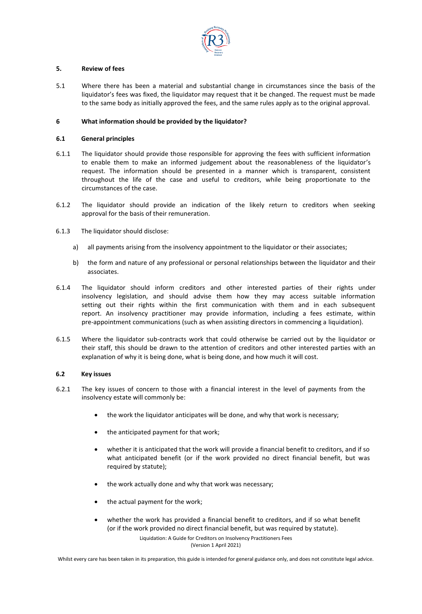

### **5. Review of fees**

5.1 Where there has been a material and substantial change in circumstances since the basis of the liquidator's fees was fixed, the liquidator may request that it be changed. The request must be made to the same body as initially approved the fees, and the same rules apply as to the original approval.

## **6 What information should be provided by the liquidator?**

## **6.1 General principles**

- 6.1.1 The liquidator should provide those responsible for approving the fees with sufficient information to enable them to make an informed judgement about the reasonableness of the liquidator's request. The information should be presented in a manner which is transparent, consistent throughout the life of the case and useful to creditors, while being proportionate to the circumstances of the case.
- 6.1.2 The liquidator should provide an indication of the likely return to creditors when seeking approval for the basis of their remuneration.
- 6.1.3 The liquidator should disclose:
	- a) all payments arising from the insolvency appointment to the liquidator or their associates;
	- b) the form and nature of any professional or personal relationships between the liquidator and their associates.
- 6.1.4 The liquidator should inform creditors and other interested parties of their rights under insolvency legislation, and should advise them how they may access suitable information setting out their rights within the first communication with them and in each subsequent report. An insolvency practitioner may provide information, including a fees estimate, within pre-appointment communications (such as when assisting directors in commencing a liquidation).
- 6.1.5 Where the liquidator sub-contracts work that could otherwise be carried out by the liquidator or their staff, this should be drawn to the attention of creditors and other interested parties with an explanation of why it is being done, what is being done, and how much it will cost.

### **6.2 Key issues**

- 6.2.1 The key issues of concern to those with a financial interest in the level of payments from the insolvency estate will commonly be:
	- the work the liquidator anticipates will be done, and why that work is necessary;
	- the anticipated payment for that work;
	- whether it is anticipated that the work will provide a financial benefit to creditors, and if so what anticipated benefit (or if the work provided no direct financial benefit, but was required by statute);
	- the work actually done and why that work was necessary;
	- the actual payment for the work;
	- Liquidation: A Guide for Creditors on Insolvency Practitioners Fees • whether the work has provided a financial benefit to creditors, and if so what benefit (or if the work provided no direct financial benefit, but was required by statute).

(Version 1 April 2021)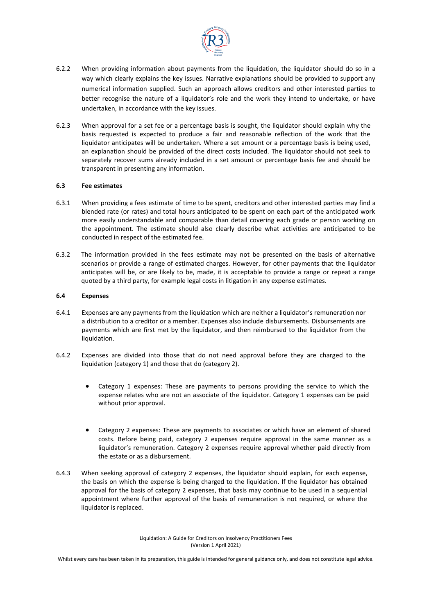

- 6.2.2 When providing information about payments from the liquidation, the liquidator should do so in a way which clearly explains the key issues. Narrative explanations should be provided to support any numerical information supplied. Such an approach allows creditors and other interested parties to better recognise the nature of a liquidator's role and the work they intend to undertake, or have undertaken, in accordance with the key issues.
- 6.2.3 When approval for a set fee or a percentage basis is sought, the liquidator should explain why the basis requested is expected to produce a fair and reasonable reflection of the work that the liquidator anticipates will be undertaken. Where a set amount or a percentage basis is being used, an explanation should be provided of the direct costs included. The liquidator should not seek to separately recover sums already included in a set amount or percentage basis fee and should be transparent in presenting any information.

## **6.3 Fee estimates**

- 6.3.1 When providing a fees estimate of time to be spent, creditors and other interested parties may find a blended rate (or rates) and total hours anticipated to be spent on each part of the anticipated work more easily understandable and comparable than detail covering each grade or person working on the appointment. The estimate should also clearly describe what activities are anticipated to be conducted in respect of the estimated fee.
- 6.3.2 The information provided in the fees estimate may not be presented on the basis of alternative scenarios or provide a range of estimated charges. However, for other payments that the liquidator anticipates will be, or are likely to be, made, it is acceptable to provide a range or repeat a range quoted by a third party, for example legal costs in litigation in any expense estimates.

## **6.4 Expenses**

- 6.4.1 Expenses are any payments from the liquidation which are neither a liquidator's remuneration nor a distribution to a creditor or a member. Expenses also include disbursements. Disbursements are payments which are first met by the liquidator, and then reimbursed to the liquidator from the liquidation.
- 6.4.2 Expenses are divided into those that do not need approval before they are charged to the liquidation (category 1) and those that do (category 2).
	- Category 1 expenses: These are payments to persons providing the service to which the expense relates who are not an associate of the liquidator. Category 1 expenses can be paid without prior approval.
	- Category 2 expenses: These are payments to associates or which have an element of shared costs. Before being paid, category 2 expenses require approval in the same manner as a liquidator's remuneration. Category 2 expenses require approval whether paid directly from the estate or as a disbursement.
- 6.4.3 When seeking approval of category 2 expenses, the liquidator should explain, for each expense, the basis on which the expense is being charged to the liquidation. If the liquidator has obtained approval for the basis of category 2 expenses, that basis may continue to be used in a sequential appointment where further approval of the basis of remuneration is not required, or where the liquidator is replaced.

Liquidation: A Guide for Creditors on Insolvency Practitioners Fees (Version 1 April 2021)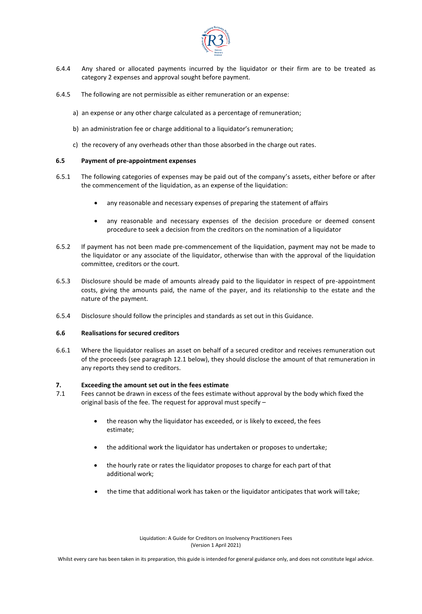

- 6.4.4 Any shared or allocated payments incurred by the liquidator or their firm are to be treated as category 2 expenses and approval sought before payment.
- 6.4.5 The following are not permissible as either remuneration or an expense:
	- a) an expense or any other charge calculated as a percentage of remuneration;
	- b) an administration fee or charge additional to a liquidator's remuneration;
	- c) the recovery of any overheads other than those absorbed in the charge out rates.

## **6.5 Payment of pre-appointment expenses**

- 6.5.1 The following categories of expenses may be paid out of the company's assets, either before or after the commencement of the liquidation, as an expense of the liquidation:
	- any reasonable and necessary expenses of preparing the statement of affairs
	- any reasonable and necessary expenses of the decision procedure or deemed consent procedure to seek a decision from the creditors on the nomination of a liquidator
- 6.5.2 If payment has not been made pre-commencement of the liquidation, payment may not be made to the liquidator or any associate of the liquidator, otherwise than with the approval of the liquidation committee, creditors or the court.
- 6.5.3 Disclosure should be made of amounts already paid to the liquidator in respect of pre-appointment costs, giving the amounts paid, the name of the payer, and its relationship to the estate and the nature of the payment.
- 6.5.4 Disclosure should follow the principles and standards as set out in this Guidance.

### **6.6 Realisations for secured creditors**

6.6.1 Where the liquidator realises an asset on behalf of a secured creditor and receives remuneration out of the proceeds (see paragraph 12.1 below), they should disclose the amount of that remuneration in any reports they send to creditors.

### **7. Exceeding the amount set out in the fees estimate**

- 7.1 Fees cannot be drawn in excess of the fees estimate without approval by the body which fixed the original basis of the fee. The request for approval must specify –
	- the reason why the liquidator has exceeded, or is likely to exceed, the fees estimate;
	- the additional work the liquidator has undertaken or proposes to undertake;
	- the hourly rate or rates the liquidator proposes to charge for each part of that additional work;
	- the time that additional work has taken or the liquidator anticipates that work will take;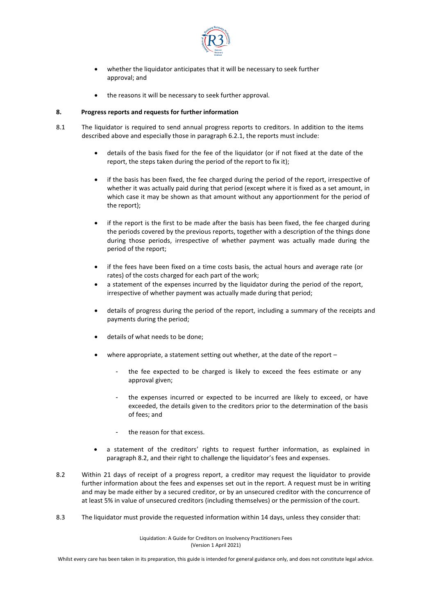

- whether the liquidator anticipates that it will be necessary to seek further approval; and
- the reasons it will be necessary to seek further approval.

## **8. Progress reports and requests for further information**

- 8.1 The liquidator is required to send annual progress reports to creditors. In addition to the items described above and especially those in paragraph 6.2.1, the reports must include:
	- details of the basis fixed for the fee of the liquidator (or if not fixed at the date of the report, the steps taken during the period of the report to fix it);
	- if the basis has been fixed, the fee charged during the period of the report, irrespective of whether it was actually paid during that period (except where it is fixed as a set amount, in which case it may be shown as that amount without any apportionment for the period of the report);
	- if the report is the first to be made after the basis has been fixed, the fee charged during the periods covered by the previous reports, together with a description of the things done during those periods, irrespective of whether payment was actually made during the period of the report;
	- if the fees have been fixed on a time costs basis, the actual hours and average rate (or rates) of the costs charged for each part of the work;
	- a statement of the expenses incurred by the liquidator during the period of the report, irrespective of whether payment was actually made during that period;
	- details of progress during the period of the report, including a summary of the receipts and payments during the period;
	- details of what needs to be done;
	- where appropriate, a statement setting out whether, at the date of the report
		- the fee expected to be charged is likely to exceed the fees estimate or any approval given;
		- the expenses incurred or expected to be incurred are likely to exceed, or have exceeded, the details given to the creditors prior to the determination of the basis of fees; and
		- the reason for that excess.
	- a statement of the creditors' rights to request further information, as explained in paragraph 8.2, and their right to challenge the liquidator's fees and expenses.
- 8.2 Within 21 days of receipt of a progress report, a creditor may request the liquidator to provide further information about the fees and expenses set out in the report. A request must be in writing and may be made either by a secured creditor, or by an unsecured creditor with the concurrence of at least 5% in value of unsecured creditors (including themselves) or the permission of the court.
- 8.3 The liquidator must provide the requested information within 14 days, unless they consider that:

Liquidation: A Guide for Creditors on Insolvency Practitioners Fees (Version 1 April 2021)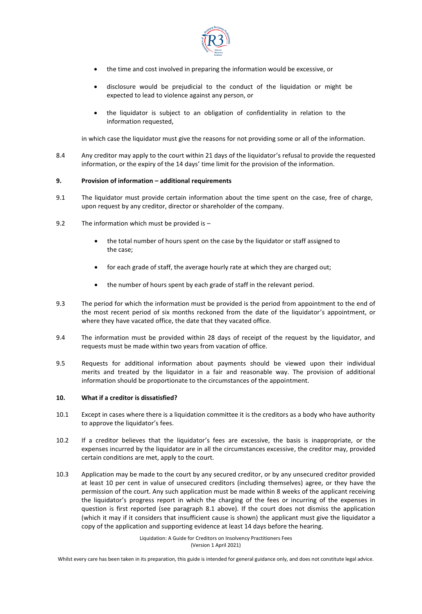

- the time and cost involved in preparing the information would be excessive, or
- disclosure would be prejudicial to the conduct of the liquidation or might be expected to lead to violence against any person, or
- the liquidator is subject to an obligation of confidentiality in relation to the information requested,

in which case the liquidator must give the reasons for not providing some or all of the information.

8.4 Any creditor may apply to the court within 21 days of the liquidator's refusal to provide the requested information, or the expiry of the 14 days' time limit for the provision of the information.

#### **9. Provision of information – additional requirements**

- 9.1 The liquidator must provide certain information about the time spent on the case, free of charge, upon request by any creditor, director or shareholder of the company.
- 9.2 The information which must be provided is
	- the total number of hours spent on the case by the liquidator or staff assigned to the case;
	- for each grade of staff, the average hourly rate at which they are charged out;
	- the number of hours spent by each grade of staff in the relevant period.
- 9.3 The period for which the information must be provided is the period from appointment to the end of the most recent period of six months reckoned from the date of the liquidator's appointment, or where they have vacated office, the date that they vacated office.
- 9.4 The information must be provided within 28 days of receipt of the request by the liquidator, and requests must be made within two years from vacation of office.
- 9.5 Requests for additional information about payments should be viewed upon their individual merits and treated by the liquidator in a fair and reasonable way. The provision of additional information should be proportionate to the circumstances of the appointment.

#### **10. What if a creditor is dissatisfied?**

- 10.1 Except in cases where there is a liquidation committee it is the creditors as a body who have authority to approve the liquidator's fees.
- 10.2 If a creditor believes that the liquidator's fees are excessive, the basis is inappropriate, or the expenses incurred by the liquidator are in all the circumstances excessive, the creditor may, provided certain conditions are met, apply to the court.
- 10.3 Application may be made to the court by any secured creditor, or by any unsecured creditor provided at least 10 per cent in value of unsecured creditors (including themselves) agree, or they have the permission of the court. Any such application must be made within 8 weeks of the applicant receiving the liquidator's progress report in which the charging of the fees or incurring of the expenses in question is first reported (see paragraph 8.1 above). If the court does not dismiss the application (which it may if it considers that insufficient cause is shown) the applicant must give the liquidator a copy of the application and supporting evidence at least 14 days before the hearing.

Liquidation: A Guide for Creditors on Insolvency Practitioners Fees (Version 1 April 2021)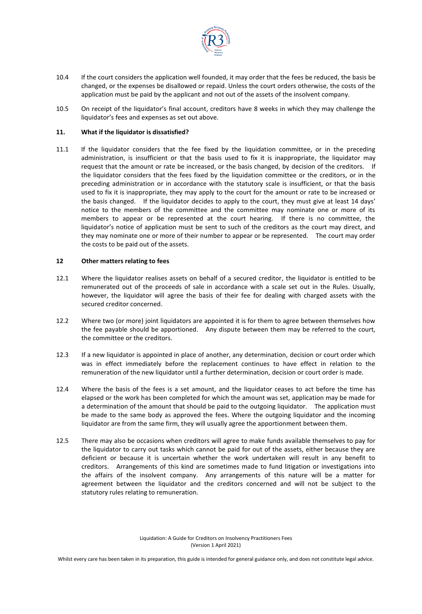

- 10.4 If the court considers the application well founded, it may order that the fees be reduced, the basis be changed, or the expenses be disallowed or repaid. Unless the court orders otherwise, the costs of the application must be paid by the applicant and not out of the assets of the insolvent company.
- 10.5 On receipt of the liquidator's final account, creditors have 8 weeks in which they may challenge the liquidator's fees and expenses as set out above.

### **11. What if the liquidator is dissatisfied?**

11.1 If the liquidator considers that the fee fixed by the liquidation committee, or in the preceding administration, is insufficient or that the basis used to fix it is inappropriate, the liquidator may request that the amount or rate be increased, or the basis changed, by decision of the creditors. If the liquidator considers that the fees fixed by the liquidation committee or the creditors, or in the preceding administration or in accordance with the statutory scale is insufficient, or that the basis used to fix it is inappropriate, they may apply to the court for the amount or rate to be increased or the basis changed. If the liquidator decides to apply to the court, they must give at least 14 days' notice to the members of the committee and the committee may nominate one or more of its members to appear or be represented at the court hearing. If there is no committee, the liquidator's notice of application must be sent to such of the creditors as the court may direct, and they may nominate one or more of their number to appear or be represented. The court may order the costs to be paid out of the assets.

## **12 Other matters relating to fees**

- 12.1 Where the liquidator realises assets on behalf of a secured creditor, the liquidator is entitled to be remunerated out of the proceeds of sale in accordance with a scale set out in the Rules. Usually, however, the liquidator will agree the basis of their fee for dealing with charged assets with the secured creditor concerned.
- 12.2 Where two (or more) joint liquidators are appointed it is for them to agree between themselves how the fee payable should be apportioned. Any dispute between them may be referred to the court, the committee or the creditors.
- 12.3 If a new liquidator is appointed in place of another, any determination, decision or court order which was in effect immediately before the replacement continues to have effect in relation to the remuneration of the new liquidator until a further determination, decision or court order is made.
- 12.4 Where the basis of the fees is a set amount, and the liquidator ceases to act before the time has elapsed or the work has been completed for which the amount was set, application may be made for a determination of the amount that should be paid to the outgoing liquidator. The application must be made to the same body as approved the fees. Where the outgoing liquidator and the incoming liquidator are from the same firm, they will usually agree the apportionment between them.
- 12.5 There may also be occasions when creditors will agree to make funds available themselves to pay for the liquidator to carry out tasks which cannot be paid for out of the assets, either because they are deficient or because it is uncertain whether the work undertaken will result in any benefit to creditors. Arrangements of this kind are sometimes made to fund litigation or investigations into the affairs of the insolvent company. Any arrangements of this nature will be a matter for agreement between the liquidator and the creditors concerned and will not be subject to the statutory rules relating to remuneration.